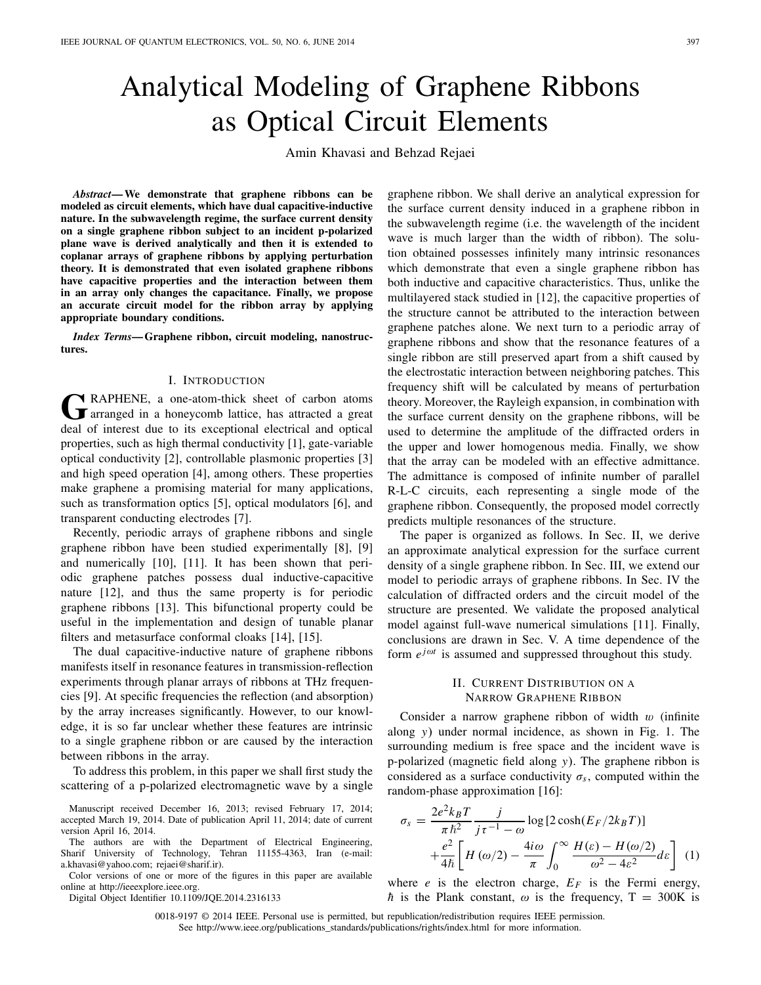# Analytical Modeling of Graphene Ribbons as Optical Circuit Elements

Amin Khavasi and Behzad Rejaei

*Abstract***— We demonstrate that graphene ribbons can be modeled as circuit elements, which have dual capacitive-inductive nature. In the subwavelength regime, the surface current density on a single graphene ribbon subject to an incident p-polarized plane wave is derived analytically and then it is extended to coplanar arrays of graphene ribbons by applying perturbation theory. It is demonstrated that even isolated graphene ribbons have capacitive properties and the interaction between them in an array only changes the capacitance. Finally, we propose an accurate circuit model for the ribbon array by applying appropriate boundary conditions.**

*Index Terms***— Graphene ribbon, circuit modeling, nanostructures.**

#### I. INTRODUCTION

GRAPHENE, a one-atom-thick sheet of carbon atoms<br>arranged in a honeycomb lattice, has attracted a great deal of interest due to its exceptional electrical and optical properties, such as high thermal conductivity [1], gate-variable optical conductivity [2], controllable plasmonic properties [3] and high speed operation [4], among others. These properties make graphene a promising material for many applications, such as transformation optics [5], optical modulators [6], and transparent conducting electrodes [7].

Recently, periodic arrays of graphene ribbons and single graphene ribbon have been studied experimentally [8], [9] and numerically [10], [11]. It has been shown that periodic graphene patches possess dual inductive-capacitive nature [12], and thus the same property is for periodic graphene ribbons [13]. This bifunctional property could be useful in the implementation and design of tunable planar filters and metasurface conformal cloaks [14], [15].

The dual capacitive-inductive nature of graphene ribbons manifests itself in resonance features in transmission-reflection experiments through planar arrays of ribbons at THz frequencies [9]. At specific frequencies the reflection (and absorption) by the array increases significantly. However, to our knowledge, it is so far unclear whether these features are intrinsic to a single graphene ribbon or are caused by the interaction between ribbons in the array.

To address this problem, in this paper we shall first study the scattering of a p-polarized electromagnetic wave by a single

Manuscript received December 16, 2013; revised February 17, 2014; accepted March 19, 2014. Date of publication April 11, 2014; date of current version April 16, 2014.

The authors are with the Department of Electrical Engineering, Sharif University of Technology, Tehran 11155-4363, Iran (e-mail: a.khavasi@yahoo.com; rejaei@sharif.ir).

Color versions of one or more of the figures in this paper are available online at http://ieeexplore.ieee.org.

Digital Object Identifier 10.1109/JQE.2014.2316133

graphene ribbon. We shall derive an analytical expression for the surface current density induced in a graphene ribbon in the subwavelength regime (i.e. the wavelength of the incident wave is much larger than the width of ribbon). The solution obtained possesses infinitely many intrinsic resonances which demonstrate that even a single graphene ribbon has both inductive and capacitive characteristics. Thus, unlike the multilayered stack studied in [12], the capacitive properties of the structure cannot be attributed to the interaction between graphene patches alone. We next turn to a periodic array of graphene ribbons and show that the resonance features of a single ribbon are still preserved apart from a shift caused by the electrostatic interaction between neighboring patches. This frequency shift will be calculated by means of perturbation theory. Moreover, the Rayleigh expansion, in combination with the surface current density on the graphene ribbons, will be used to determine the amplitude of the diffracted orders in the upper and lower homogenous media. Finally, we show that the array can be modeled with an effective admittance. The admittance is composed of infinite number of parallel R-L-C circuits, each representing a single mode of the graphene ribbon. Consequently, the proposed model correctly predicts multiple resonances of the structure.

The paper is organized as follows. In Sec. II, we derive an approximate analytical expression for the surface current density of a single graphene ribbon. In Sec. III, we extend our model to periodic arrays of graphene ribbons. In Sec. IV the calculation of diffracted orders and the circuit model of the structure are presented. We validate the proposed analytical model against full-wave numerical simulations [11]. Finally, conclusions are drawn in Sec. V. A time dependence of the form  $e^{j\omega t}$  is assumed and suppressed throughout this study.

## II. CURRENT DISTRIBUTION ON A NARROW GRAPHENE RIBBON

Consider a narrow graphene ribbon of width  $w$  (infinite along *y*) under normal incidence, as shown in Fig. 1. The surrounding medium is free space and the incident wave is p-polarized (magnetic field along *y*). The graphene ribbon is considered as a surface conductivity  $\sigma_s$ , computed within the random-phase approximation [16]:

$$
\sigma_s = \frac{2e^2k_BT}{\pi\hbar^2} \frac{j}{j\tau^{-1} - \omega} \log\left[2\cosh(E_F/2k_BT)\right] + \frac{e^2}{4\hbar} \left[H\left(\omega/2\right) - \frac{4i\omega}{\pi} \int_0^\infty \frac{H(\varepsilon) - H(\omega/2)}{\omega^2 - 4\varepsilon^2} d\varepsilon\right] (1)
$$

where  $e$  is the electron charge,  $E_F$  is the Fermi energy,  $\hbar$  is the Plank constant,  $\omega$  is the frequency, T = 300K is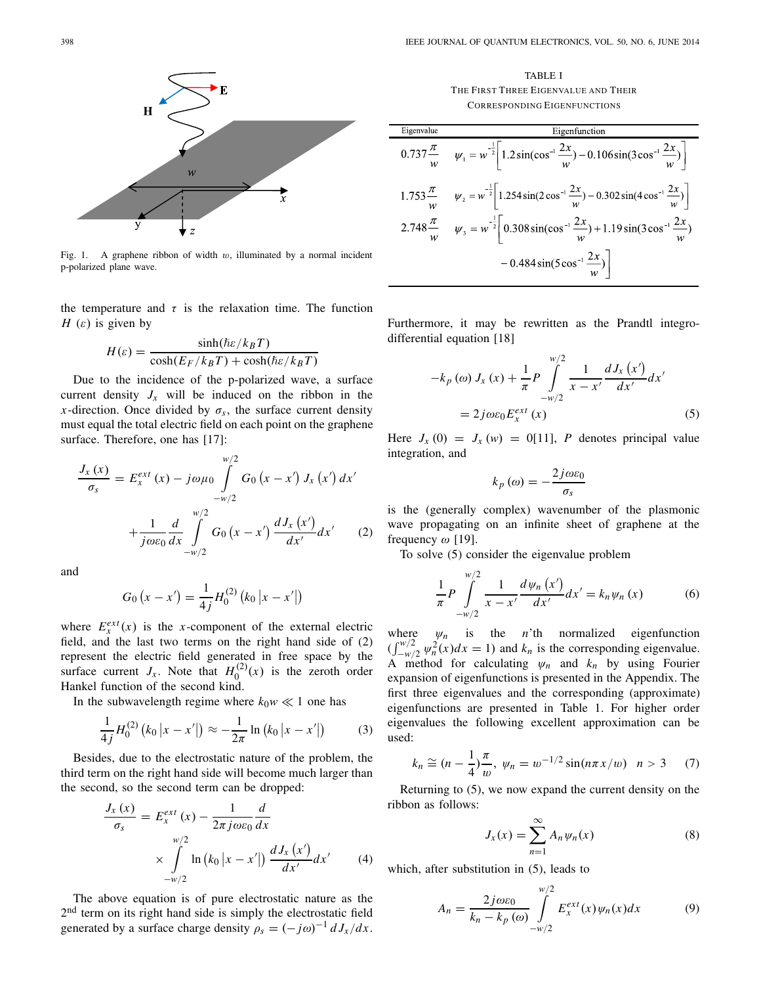

Fig. 1. A graphene ribbon of width  $w$ , illuminated by a normal incident p-polarized plane wave.

the temperature and  $\tau$  is the relaxation time. The function *H* ( $\varepsilon$ ) is given by

$$
H(\varepsilon) = \frac{\sinh(\hbar\varepsilon/k_BT)}{\cosh(E_F/k_BT) + \cosh(\hbar\varepsilon/k_BT)}
$$

Due to the incidence of the p-polarized wave, a surface current density  $J_x$  will be induced on the ribbon in the *x*-direction. Once divided by  $\sigma_s$ , the surface current density must equal the total electric field on each point on the graphene surface. Therefore, one has [17]:

$$
\frac{J_{x}(x)}{\sigma_{s}} = E_{x}^{ext}(x) - j\omega\mu_{0} \int_{-w/2}^{w/2} G_{0}(x - x') J_{x}(x') dx' + \frac{1}{j\omega\varepsilon_{0}} \frac{d}{dx} \int_{-w/2}^{w/2} G_{0}(x - x') \frac{dJ_{x}(x')}{dx'} dx' \qquad (2)
$$

and

$$
G_0(x - x') = \frac{1}{4j} H_0^{(2)} (k_0 |x - x'|)
$$

where  $E_x^{ext}(x)$  is the *x*-component of the external electric field, and the last two terms on the right hand side of (2) represent the electric field generated in free space by the surface current  $J_x$ . Note that  $H_0^{(2)}(x)$  is the zeroth order Hankel function of the second kind.

In the subwavelength regime where  $k_0w \ll 1$  one has

$$
\frac{1}{4j}H_0^{(2)}\left(k_0\left|x-x'\right|\right)\approx -\frac{1}{2\pi}\ln\left(k_0\left|x-x'\right|\right)\tag{3}
$$

Besides, due to the electrostatic nature of the problem, the third term on the right hand side will become much larger than the second, so the second term can be dropped:

$$
\frac{J_x(x)}{\sigma_s} = E_x^{ext}(x) - \frac{1}{2\pi j \omega \varepsilon_0} \frac{d}{dx}
$$

$$
\times \int_{-w/2}^{w/2} \ln (k_0 |x - x'|) \frac{dJ_x(x')}{dx'} dx' \qquad (4)
$$

The above equation is of pure electrostatic nature as the  $2<sup>nd</sup>$  term on its right hand side is simply the electrostatic field generated by a surface charge density  $\rho_s = (-j\omega)^{-1} dJ_x/dx$ .

TABLE I THE FIRST THREE EIGENVALUE AND THEIR CORRESPONDING EIGENFUNCTIONS

| Eigenvalue | Eigenfunction                                                                                                                             |
|------------|-------------------------------------------------------------------------------------------------------------------------------------------|
|            | $0.737 \frac{\pi}{w}$ $\psi_1 = w^{\frac{1}{2}}  1.2 \sin(\cos^{-1} \frac{2x}{w}) - 0.106 \sin(3 \cos^{-1} \frac{2x}{w}) $                |
|            | 1.753 $\frac{\pi}{w}$ $\psi_2 = w^{-\frac{1}{2}}  1.254 \sin(2 \cos^{-1} \frac{2x}{w}) - 0.302 \sin(4 \cos^{-1} \frac{2x}{w}) $           |
|            | 2.748 $\frac{\pi}{w}$ $\psi_3 = w^{-\frac{1}{2}} \left( 0.308 \sin(\cos^{-1} \frac{2x}{w}) + 1.19 \sin(3 \cos^{-1} \frac{2x}{w}) \right)$ |
|            | $-0.484\sin(5\cos^{-1}\frac{2x}{w})$                                                                                                      |

Furthermore, it may be rewritten as the Prandtl integrodifferential equation [18]

$$
-k_p(\omega) J_x(x) + \frac{1}{\pi} P \int_{-w/2}^{w/2} \frac{1}{x - x'} \frac{dJ_x(x')}{dx'} dx'
$$
  
=  $2j\omega\varepsilon_0 E_x^{ext}(x)$  (5)

Here  $J_x(0) = J_x(w) = 0$ [11], *P* denotes principal value integration, and

$$
k_p\left(\omega\right)=-\frac{2j\omega\varepsilon_0}{\sigma_s}
$$

is the (generally complex) wavenumber of the plasmonic wave propagating on an infinite sheet of graphene at the frequency  $\omega$  [19].

To solve (5) consider the eigenvalue problem

$$
\frac{1}{\pi}P\int_{-w/2}^{w/2}\frac{1}{x-x'}\frac{d\psi_n(x')}{dx'}dx'=k_n\psi_n(x)
$$
 (6)

where  $\psi_n$  is the *n*'th normalized eigenfunction  $(\int_{-\frac{w}{2}}^{\frac{w}{2}} \psi_n^2(x) dx = 1)$  and  $k_n$  is the corresponding eigenvalue. A method for calculating  $\psi_n$  and  $k_n$  by using Fourier expansion of eigenfunctions is presented in the Appendix. The first three eigenvalues and the corresponding (approximate) eigenfunctions are presented in Table 1. For higher order eigenvalues the following excellent approximation can be used:

$$
k_n \approx (n - \frac{1}{4})\frac{\pi}{w}, \ \psi_n = w^{-1/2} \sin(n\pi x/w) \quad n > 3
$$
 (7)

Returning to (5), we now expand the current density on the ribbon as follows:

$$
J_x(x) = \sum_{n=1}^{\infty} A_n \psi_n(x)
$$
 (8)

which, after substitution in (5), leads to

$$
A_n = \frac{2j\omega\varepsilon_0}{k_n - k_p(\omega)} \int_{-w/2}^{w/2} E_x^{ext}(x)\psi_n(x)dx
$$
 (9)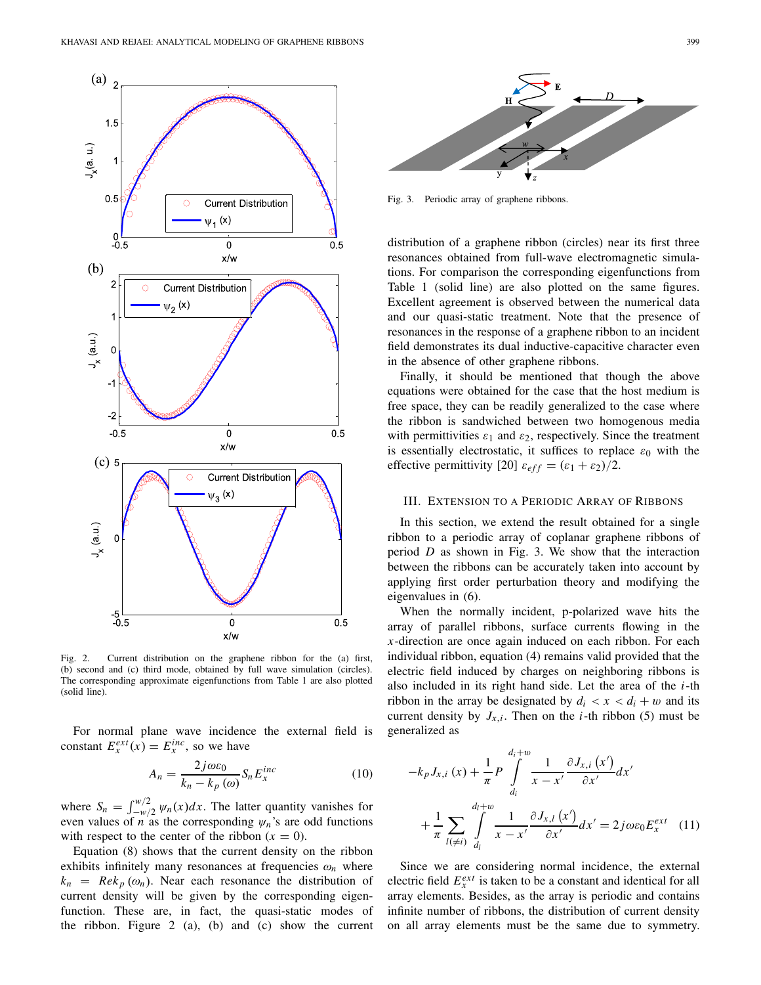

Fig. 2. Current distribution on the graphene ribbon for the (a) first, (b) second and (c) third mode, obtained by full wave simulation (circles). The corresponding approximate eigenfunctions from Table 1 are also plotted (solid line).

For normal plane wave incidence the external field is constant  $E_x^{ext}(x) = E_x^{inc}$ , so we have

$$
A_n = \frac{2j\omega\varepsilon_0}{k_n - k_p(\omega)} S_n E_x^{inc}
$$
 (10)

where  $S_n = \int_{-w/2}^{w/2} \psi_n(x) dx$ . The latter quantity vanishes for even values of *n* as the corresponding  $\psi_n$ 's are odd functions with respect to the center of the ribbon  $(x = 0)$ .

Equation (8) shows that the current density on the ribbon exhibits infinitely many resonances at frequencies  $\omega_n$  where  $k_n$  =  $Re k_p(\omega_n)$ . Near each resonance the distribution of current density will be given by the corresponding eigenfunction. These are, in fact, the quasi-static modes of the ribbon. Figure 2 (a), (b) and (c) show the current



Fig. 3. Periodic array of graphene ribbons.

distribution of a graphene ribbon (circles) near its first three resonances obtained from full-wave electromagnetic simulations. For comparison the corresponding eigenfunctions from Table 1 (solid line) are also plotted on the same figures. Excellent agreement is observed between the numerical data and our quasi-static treatment. Note that the presence of resonances in the response of a graphene ribbon to an incident field demonstrates its dual inductive-capacitive character even in the absence of other graphene ribbons.

Finally, it should be mentioned that though the above equations were obtained for the case that the host medium is free space, they can be readily generalized to the case where the ribbon is sandwiched between two homogenous media with permittivities  $\varepsilon_1$  and  $\varepsilon_2$ , respectively. Since the treatment is essentially electrostatic, it suffices to replace  $\varepsilon_0$  with the effective permittivity [20]  $\varepsilon_{eff} = (\varepsilon_1 + \varepsilon_2)/2$ .

#### III. EXTENSION TO A PERIODIC ARRAY OF RIBBONS

In this section, we extend the result obtained for a single ribbon to a periodic array of coplanar graphene ribbons of period *D* as shown in Fig. 3. We show that the interaction between the ribbons can be accurately taken into account by applying first order perturbation theory and modifying the eigenvalues in (6).

When the normally incident, p-polarized wave hits the array of parallel ribbons, surface currents flowing in the *x*-direction are once again induced on each ribbon. For each individual ribbon, equation (4) remains valid provided that the electric field induced by charges on neighboring ribbons is also included in its right hand side. Let the area of the *i*-th ribbon in the array be designated by  $d_i < x < d_i + w$  and its current density by  $J_{x,i}$ . Then on the *i*-th ribbon (5) must be generalized as

$$
-k_p J_{x,i}(x) + \frac{1}{\pi} P \int_{d_i}^{d_i+w} \frac{1}{x - x'} \frac{\partial J_{x,i}(x')}{\partial x'} dx'
$$
  
+ 
$$
\frac{1}{\pi} \sum_{l(\neq i)} \int_{d_l}^{d_l+w} \frac{1}{x - x'} \frac{\partial J_{x,l}(x')}{\partial x'} dx' = 2j\omega\varepsilon_0 E_x^{ext}
$$
(11)

Since we are considering normal incidence, the external electric field  $E_x^{ext}$  is taken to be a constant and identical for all array elements. Besides, as the array is periodic and contains infinite number of ribbons, the distribution of current density on all array elements must be the same due to symmetry.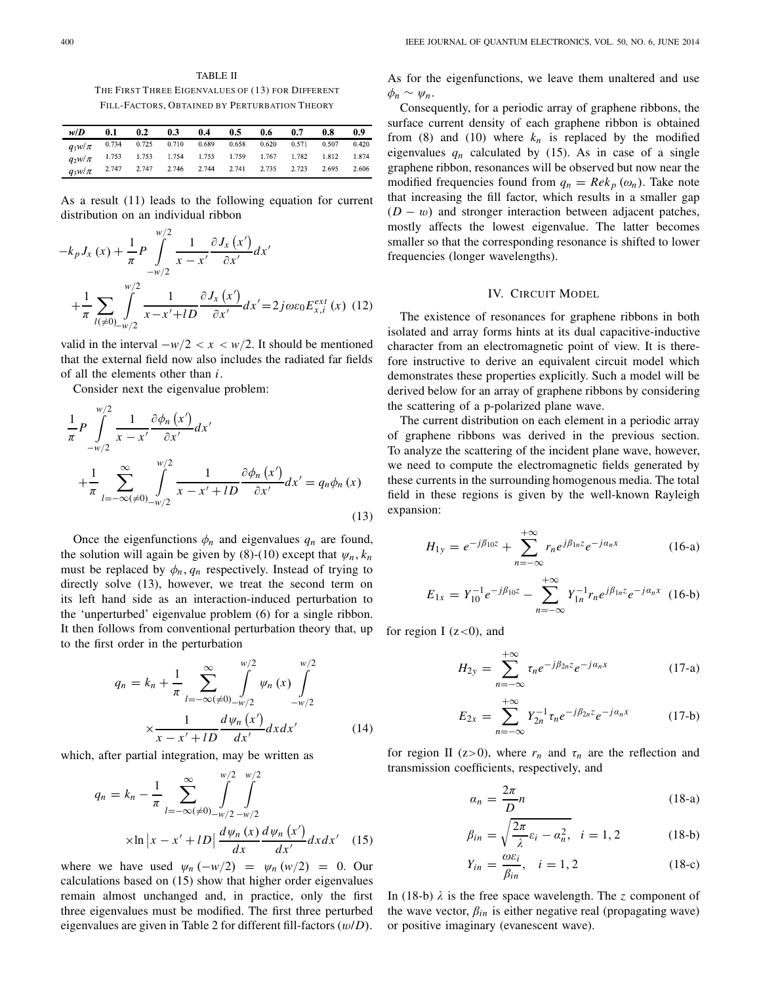TABLE II THE FIRST THREE EIGENVALUES OF (13) FOR DIFFERENT FILL-FACTORS, OBTAINED BY PERTURBATION THEORY

| w/D                                                              | 0.1 | 0.2                                 | 0.3 | 0.4 | 0.5 | 0.6   | 0.7                   | 0.8   | -0.9  |
|------------------------------------------------------------------|-----|-------------------------------------|-----|-----|-----|-------|-----------------------|-------|-------|
| $q_1 w/\pi$ 0.734 0.725 0.710 0.689 0.658                        |     |                                     |     |     |     | 0.620 | $\frac{1}{100}$ 0.571 | 0.507 | 0.420 |
| $q_2w/\pi$ 1.753 1.753 1.754 1.755 1.759 1.767 1.782 1.812 1.874 |     |                                     |     |     |     |       |                       |       |       |
| $q_3w/\pi$                                                       |     | 2.747 2.747 2.746 2.744 2.741 2.735 |     |     |     |       | 2.723                 | 2.695 | 2.606 |

As a result (11) leads to the following equation for current distribution on an individual ribbon

$$
-k_{p}J_{x}(x) + \frac{1}{\pi}P\int_{-w/2}^{w/2} \frac{1}{x - x'} \frac{\partial J_{x}(x')}{\partial x'} dx'
$$
  
+ 
$$
\frac{1}{\pi} \sum_{l(\neq 0)_{-w/2}} \int_{-w/2}^{w/2} \frac{1}{x - x' + lD} \frac{\partial J_{x}(x')}{\partial x'} dx' = 2j\omega \varepsilon_{0} E_{x,i}^{ext}(x)
$$
(12)

valid in the interval  $-w/2 < x < w/2$ . It should be mentioned that the external field now also includes the radiated far fields of all the elements other than *i*.

Consider next the eigenvalue problem:

$$
\frac{1}{\pi}P\int_{-w/2}^{w/2}\frac{1}{x-x'}\frac{\partial\phi_n(x')}{\partial x'}dx'
$$

$$
+\frac{1}{\pi}\sum_{l=-\infty(\neq 0)}^{\infty}\int_{-w/2}^{w/2}\frac{1}{x-x'+lD}\frac{\partial\phi_n(x')}{\partial x'}dx'=q_n\phi_n(x)
$$
(13)

Once the eigenfunctions  $\phi_n$  and eigenvalues  $q_n$  are found, the solution will again be given by (8)-(10) except that  $\psi_n$ ,  $k_n$ must be replaced by  $\phi_n$ ,  $q_n$  respectively. Instead of trying to directly solve (13), however, we treat the second term on its left hand side as an interaction-induced perturbation to the 'unperturbed' eigenvalue problem (6) for a single ribbon. It then follows from conventional perturbation theory that, up to the first order in the perturbation

$$
q_n = k_n + \frac{1}{\pi} \sum_{l=-\infty}^{\infty} \int_{-w/2}^{w/2} \psi_n(x) \int_{-w/2}^{w/2}
$$

$$
\times \frac{1}{x - x' + lD} \frac{d \psi_n(x')}{dx'} dx' dx'
$$
(14)

which, after partial integration, may be written as

$$
q_n = k_n - \frac{1}{\pi} \sum_{l=-\infty}^{\infty} \int_{-\infty/2}^{\infty/2} \int_{-\infty/2}^{\infty/2} \int_{-\infty/2}^{\infty/2} dx \, dx'
$$
  
 
$$
\times \ln|x - x' + lD| \frac{d\psi_n(x)}{dx} \frac{d\psi_n(x')}{dx'} dx dx' \quad (15)
$$

where we have used  $\psi_n(-w/2) = \psi_n(w/2) = 0$ . Our calculations based on (15) show that higher order eigenvalues remain almost unchanged and, in practice, only the first three eigenvalues must be modified. The first three perturbed eigenvalues are given in Table 2 for different fill-factors (w/*D*). As for the eigenfunctions, we leave them unaltered and use  $\phi_n \sim \psi_n$ .

Consequently, for a periodic array of graphene ribbons, the surface current density of each graphene ribbon is obtained from (8) and (10) where  $k_n$  is replaced by the modified eigenvalues  $q_n$  calculated by (15). As in case of a single graphene ribbon, resonances will be observed but now near the modified frequencies found from  $q_n = Re k_p (\omega_n)$ . Take note that increasing the fill factor, which results in a smaller gap  $(D - w)$  and stronger interaction between adjacent patches, mostly affects the lowest eigenvalue. The latter becomes smaller so that the corresponding resonance is shifted to lower frequencies (longer wavelengths).

## IV. CIRCUIT MODEL

The existence of resonances for graphene ribbons in both isolated and array forms hints at its dual capacitive-inductive character from an electromagnetic point of view. It is therefore instructive to derive an equivalent circuit model which demonstrates these properties explicitly. Such a model will be derived below for an array of graphene ribbons by considering the scattering of a p-polarized plane wave.

The current distribution on each element in a periodic array of graphene ribbons was derived in the previous section. To analyze the scattering of the incident plane wave, however, we need to compute the electromagnetic fields generated by these currents in the surrounding homogenous media. The total field in these regions is given by the well-known Rayleigh expansion:

$$
H_{1y} = e^{-j\beta_{10}z} + \sum_{n=-\infty}^{+\infty} r_n e^{j\beta_{1n}z} e^{-j a_n x}
$$
 (16-a)

$$
E_{1x} = Y_{10}^{-1}e^{-j\beta_{10}z} - \sum_{n=-\infty}^{+\infty} Y_{1n}^{-1}r_ne^{j\beta_{1n}z}e^{-ja_nx}
$$
 (16-b)

for region I  $(z<0)$ , and

$$
H_{2y} = \sum_{n=-\infty}^{+\infty} \tau_n e^{-j\beta_{2n}z} e^{-j\alpha_n x}
$$
 (17-a)

$$
E_{2x} = \sum_{n=-\infty}^{+\infty} Y_{2n}^{-1} \tau_n e^{-j\beta_{2n} z} e^{-j a_n x}
$$
 (17-b)

for region II ( $z>0$ ), where  $r_n$  and  $\tau_n$  are the reflection and transmission coefficients, respectively, and

$$
\alpha_n = \frac{2\pi}{D}n\tag{18-a}
$$

$$
\beta_{in} = \sqrt{\frac{2\pi}{\lambda} \varepsilon_i - \alpha_n^2}, \quad i = 1, 2 \tag{18-b}
$$

$$
Y_{in} = \frac{\omega \varepsilon_i}{\beta_{in}}, \quad i = 1, 2 \tag{18-c}
$$

In (18-b)  $\lambda$  is the free space wavelength. The *z* component of the wave vector,  $\beta_{in}$  is either negative real (propagating wave) or positive imaginary (evanescent wave).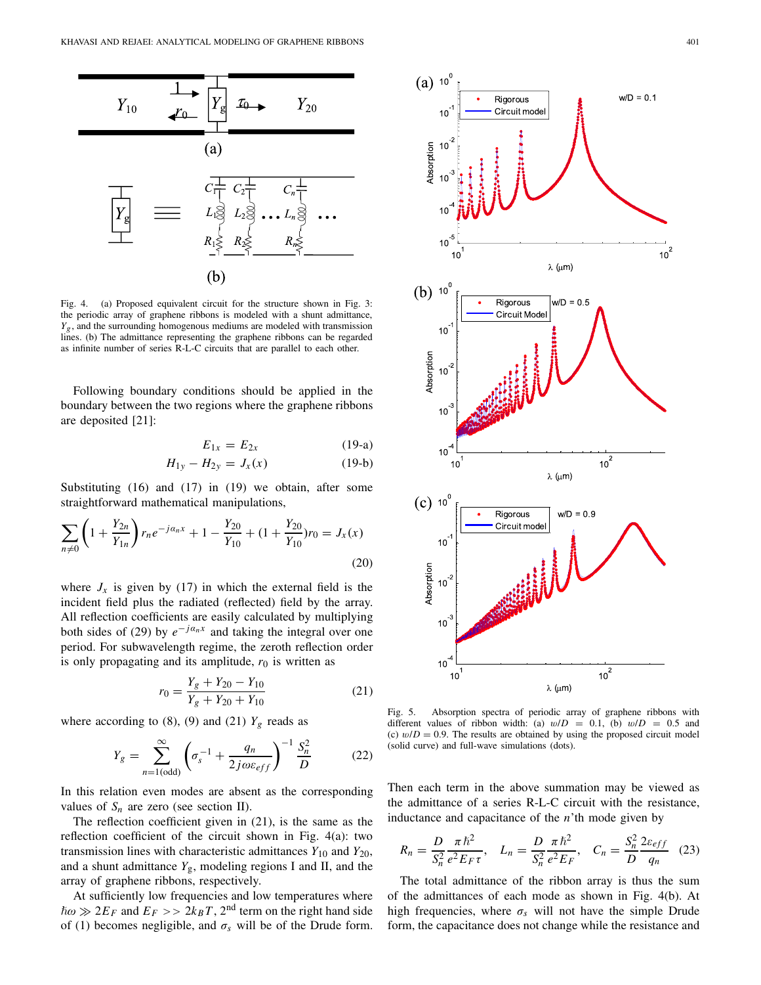

Fig. 4. (a) Proposed equivalent circuit for the structure shown in Fig. 3: the periodic array of graphene ribbons is modeled with a shunt admittance,  $Y_g$ , and the surrounding homogenous mediums are modeled with transmission lines. (b) The admittance representing the graphene ribbons can be regarded as infinite number of series R-L-C circuits that are parallel to each other.

Following boundary conditions should be applied in the boundary between the two regions where the graphene ribbons are deposited [21]:

$$
E_{1x} = E_{2x} \tag{19-a}
$$

$$
H_{1y} - H_{2y} = J_x(x) \tag{19-b}
$$

Substituting (16) and (17) in (19) we obtain, after some straightforward mathematical manipulations,

$$
\sum_{n\neq 0} \left( 1 + \frac{Y_{2n}}{Y_{1n}} \right) r_n e^{-j\alpha_n x} + 1 - \frac{Y_{20}}{Y_{10}} + (1 + \frac{Y_{20}}{Y_{10}}) r_0 = J_x(x)
$$
\n(20)

where  $J_x$  is given by (17) in which the external field is the incident field plus the radiated (reflected) field by the array. All reflection coefficients are easily calculated by multiplying both sides of (29) by  $e^{-j a_n x}$  and taking the integral over one period. For subwavelength regime, the zeroth reflection order is only propagating and its amplitude,  $r_0$  is written as

$$
r_0 = \frac{Y_g + Y_{20} - Y_{10}}{Y_g + Y_{20} + Y_{10}}
$$
\n(21)

where according to  $(8)$ ,  $(9)$  and  $(21)$   $Y_g$  reads as

$$
Y_g = \sum_{n=1(\text{odd})}^{\infty} \left( \sigma_s^{-1} + \frac{q_n}{2j\omega\varepsilon_{eff}} \right)^{-1} \frac{S_n^2}{D} \tag{22}
$$

In this relation even modes are absent as the corresponding values of  $S_n$  are zero (see section II).

The reflection coefficient given in (21), is the same as the reflection coefficient of the circuit shown in Fig. 4(a): two transmission lines with characteristic admittances  $Y_{10}$  and  $Y_{20}$ , and a shunt admittance  $Y_g$ , modeling regions I and II, and the array of graphene ribbons, respectively.

At sufficiently low frequencies and low temperatures where  $\hbar \omega \gg 2E_F$  and  $E_F >> 2k_B T$ , 2<sup>nd</sup> term on the right hand side of (1) becomes negligible, and  $\sigma_s$  will be of the Drude form.



Fig. 5. Absorption spectra of periodic array of graphene ribbons with different values of ribbon width: (a)  $w/D = 0.1$ , (b)  $w/D = 0.5$  and (c)  $w/D = 0.9$ . The results are obtained by using the proposed circuit model (solid curve) and full-wave simulations (dots).

Then each term in the above summation may be viewed as the admittance of a series R-L-C circuit with the resistance, inductance and capacitance of the *n*'th mode given by

$$
R_n = \frac{D}{S_n^2} \frac{\pi \hbar^2}{e^2 E_F \tau}, \quad L_n = \frac{D}{S_n^2} \frac{\pi \hbar^2}{e^2 E_F}, \quad C_n = \frac{S_n^2}{D} \frac{2\varepsilon_{eff}}{q_n} \quad (23)
$$

The total admittance of the ribbon array is thus the sum of the admittances of each mode as shown in Fig. 4(b). At high frequencies, where  $\sigma_s$  will not have the simple Drude form, the capacitance does not change while the resistance and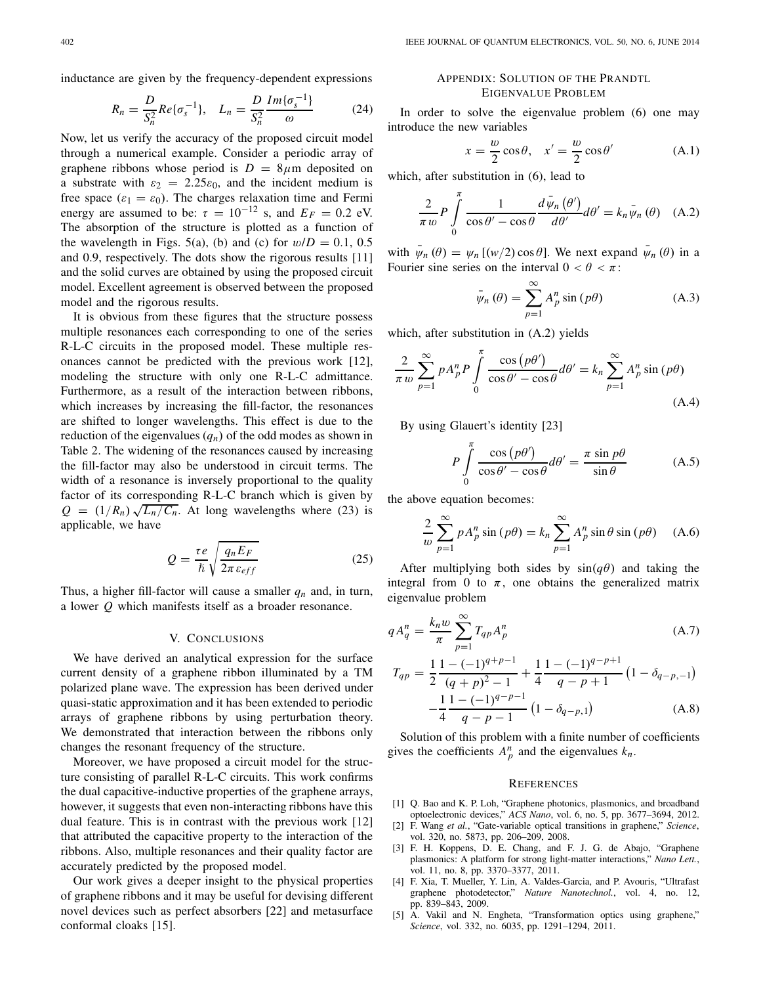inductance are given by the frequency-dependent expressions

$$
R_n = \frac{D}{S_n^2} Re{\{\sigma_s^{-1}\}}, \quad L_n = \frac{D}{S_n^2} \frac{Im{\{\sigma_s^{-1}\}}}{\omega} \tag{24}
$$

Now, let us verify the accuracy of the proposed circuit model through a numerical example. Consider a periodic array of graphene ribbons whose period is  $D = 8 \mu m$  deposited on a substrate with  $\varepsilon_2 = 2.25\varepsilon_0$ , and the incident medium is free space ( $\varepsilon_1 = \varepsilon_0$ ). The charges relaxation time and Fermi energy are assumed to be:  $\tau = 10^{-12}$  s, and  $E_F = 0.2$  eV. The absorption of the structure is plotted as a function of the wavelength in Figs. 5(a), (b) and (c) for  $w/D = 0.1, 0.5$ and 0.9, respectively. The dots show the rigorous results [11] and the solid curves are obtained by using the proposed circuit model. Excellent agreement is observed between the proposed model and the rigorous results.

It is obvious from these figures that the structure possess multiple resonances each corresponding to one of the series R-L-C circuits in the proposed model. These multiple resonances cannot be predicted with the previous work [12], modeling the structure with only one R-L-C admittance. Furthermore, as a result of the interaction between ribbons, which increases by increasing the fill-factor, the resonances are shifted to longer wavelengths. This effect is due to the reduction of the eigenvalues  $(q_n)$  of the odd modes as shown in Table 2. The widening of the resonances caused by increasing the fill-factor may also be understood in circuit terms. The width of a resonance is inversely proportional to the quality factor of its corresponding R-L-C branch which is given by *Q* =  $(1/R_n)\sqrt{L_n/C_n}$ . At long wavelengths where (23) is applicable, we have

$$
Q = \frac{\tau e}{\hbar} \sqrt{\frac{q_n E_F}{2\pi \epsilon_{eff}}}
$$
 (25)

Thus, a higher fill-factor will cause a smaller  $q_n$  and, in turn, a lower *Q* which manifests itself as a broader resonance.

## V. CONCLUSIONS

We have derived an analytical expression for the surface current density of a graphene ribbon illuminated by a TM polarized plane wave. The expression has been derived under quasi-static approximation and it has been extended to periodic arrays of graphene ribbons by using perturbation theory. We demonstrated that interaction between the ribbons only changes the resonant frequency of the structure.

Moreover, we have proposed a circuit model for the structure consisting of parallel R-L-C circuits. This work confirms the dual capacitive-inductive properties of the graphene arrays, however, it suggests that even non-interacting ribbons have this dual feature. This is in contrast with the previous work [12] that attributed the capacitive property to the interaction of the ribbons. Also, multiple resonances and their quality factor are accurately predicted by the proposed model.

Our work gives a deeper insight to the physical properties of graphene ribbons and it may be useful for devising different novel devices such as perfect absorbers [22] and metasurface conformal cloaks [15].

## APPENDIX: SOLUTION OF THE PRANDTL EIGENVALUE PROBLEM

In order to solve the eigenvalue problem (6) one may introduce the new variables

$$
x = \frac{w}{2}\cos\theta, \quad x' = \frac{w}{2}\cos\theta'
$$
 (A.1)

which, after substitution in (6), lead to

$$
\frac{2}{\pi w} P \int_{0}^{\pi} \frac{1}{\cos \theta' - \cos \theta} \frac{d \bar{\psi}_n (\theta')}{d \theta'} d\theta' = k_n \bar{\psi}_n (\theta) \quad (A.2)
$$

with  $\psi_n(\theta) = \psi_n$  [(*w*/2) cos  $\theta$ ]. We next expand  $\psi_n(\theta)$  in a Fourier sine series on the interval  $0 < \theta < \pi$ :

$$
\bar{\psi}_n(\theta) = \sum_{p=1}^{\infty} A_p^n \sin(p\theta)
$$
 (A.3)

which, after substitution in (A.2) yields

$$
\frac{2}{\pi w} \sum_{p=1}^{\infty} p A_p^n P \int_0^{\pi} \frac{\cos (p\theta')}{\cos \theta' - \cos \theta} d\theta' = k_n \sum_{p=1}^{\infty} A_p^n \sin (p\theta)
$$
\n(A.4)

By using Glauert's identity [23]

$$
P \int_{0}^{\pi} \frac{\cos (p\theta')}{\cos \theta' - \cos \theta} d\theta' = \frac{\pi \sin p\theta}{\sin \theta}
$$
 (A.5)

the above equation becomes:

$$
\frac{2}{w} \sum_{p=1}^{\infty} p A_p^n \sin(p\theta) = k_n \sum_{p=1}^{\infty} A_p^n \sin \theta \sin(p\theta)
$$
 (A.6)

After multiplying both sides by  $sin(q\theta)$  and taking the integral from 0 to  $\pi$ , one obtains the generalized matrix eigenvalue problem

$$
qA_q^n = \frac{k_n w}{\pi} \sum_{p=1}^{\infty} T_{qp} A_p^n
$$
 (A.7)

$$
T_{qp} = \frac{1}{2} \frac{1 - (-1)^{q+p-1}}{(q+p)^2 - 1} + \frac{1}{4} \frac{1 - (-1)^{q-p+1}}{q-p+1} \left(1 - \delta_{q-p,-1}\right)
$$

$$
-\frac{1}{4} \frac{1 - (-1)^{q-p-1}}{q-p-1} \left(1 - \delta_{q-p,1}\right) \tag{A.8}
$$

Solution of this problem with a finite number of coefficients gives the coefficients  $A_p^n$  and the eigenvalues  $k_n$ .

### **REFERENCES**

- [1] Q. Bao and K. P. Loh, "Graphene photonics, plasmonics, and broadband optoelectronic devices," *ACS Nano*, vol. 6, no. 5, pp. 3677–3694, 2012.
- [2] F. Wang *et al.*, "Gate-variable optical transitions in graphene," *Science*, vol. 320, no. 5873, pp. 206–209, 2008.
- [3] F. H. Koppens, D. E. Chang, and F. J. G. de Abajo, "Graphene plasmonics: A platform for strong light-matter interactions," *Nano Lett.*, vol. 11, no. 8, pp. 3370–3377, 2011.
- [4] F. Xia, T. Mueller, Y. Lin, A. Valdes-Garcia, and P. Avouris, "Ultrafast graphene photodetector," *Nature Nanotechnol.*, vol. 4, no. 12, pp. 839–843, 2009.
- [5] A. Vakil and N. Engheta, "Transformation optics using graphene," *Science*, vol. 332, no. 6035, pp. 1291–1294, 2011.